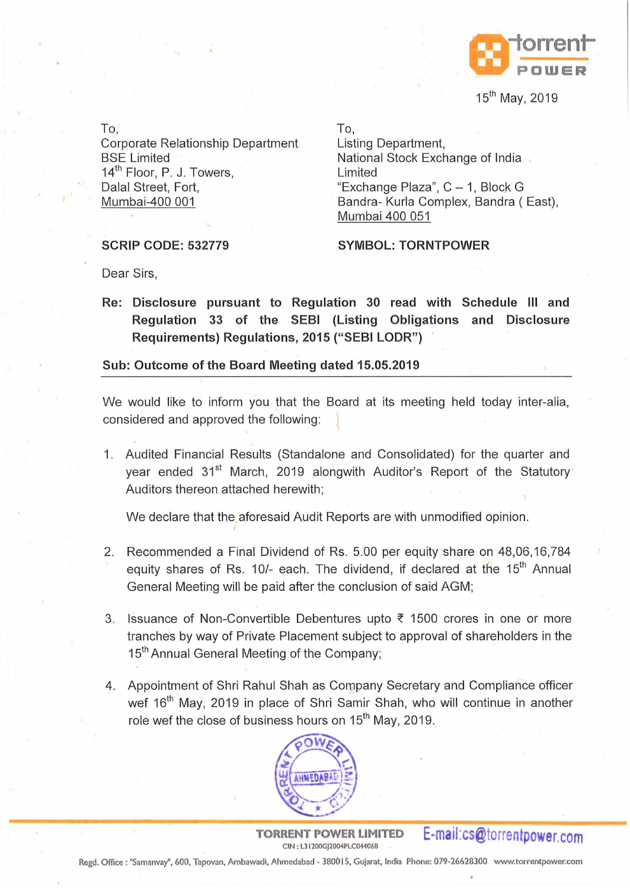

15<sup>th</sup> May, 2019

To,

Corporate Relationship Department BSE Limited 14<sup>th</sup> Floor, P. J. Towers, Dalal Street, Fort, Mumbai-400 001

To,

Listing Department, National Stock Exchange of India Limited "Exchange Plaza",  $C - 1$ , Block G Bandra- Kurla Complex, Bandra ( East), Mumbai 400 051

## **SCRIP CODE: 532779**

**SYMBOL: TORNTPOWER** 

Dear Sirs,

**Re: Disclosure pursuant to Regulation 30 read with Schedule Ill and Regulation 33 of the SEBI (Listing Obligations and Disclosure Requirements) Regulations, 2015 ("SEBI LODR")** 

**Sub: Outcome of the Board Meeting dated 15.05.2019** 

We would like to inform you that the Board at its meeting held today inter-alia, considered and approved the following:

1. Audited Financial Results (Standalone and Consolidated) for the quarter and year ended 31<sup>st</sup> March, 2019 alongwith Auditor's Report of the Statutory Auditors thereon attached herewith;

We declare that the aforesaid Audit Reports are with unmodified opinion.

- 2. Recommended a Final Dividend of Rs. 5.00 per equity share on 48,06,16,784 equity shares of Rs. 10/- each. The dividend, if declared at the 15<sup>th</sup> Annual General Meeting will be paid after the conclusion of said AGM;
- 3. Issuance of Non-Convertible Debentures upto  $\bar{\tau}$  1500 crores in one or more tranches by way of Private Placement subject to approval of shareholders in the 15<sup>th</sup> Annual General Meeting of the Company;
- 4. Appointment of Shri Rahul Shah as Company Secretary and Compliance officer wef 16<sup>th</sup> May, 2019 in place of Shri Samir Shah, who will continue in another role wef the close of business hours on 15<sup>th</sup> May, 2019.



**TORRENT POWER LIMITED**  CIN : L31200GJ2004PLC044068

**E-mail:cs@torrentpower.com** 

Regd. Office: "Samanvay", 600, Tapovan, Ambawadi, Ahmedabad - 380015, Gujarat, India Phone: 079-26628300 www.torrentpower.com